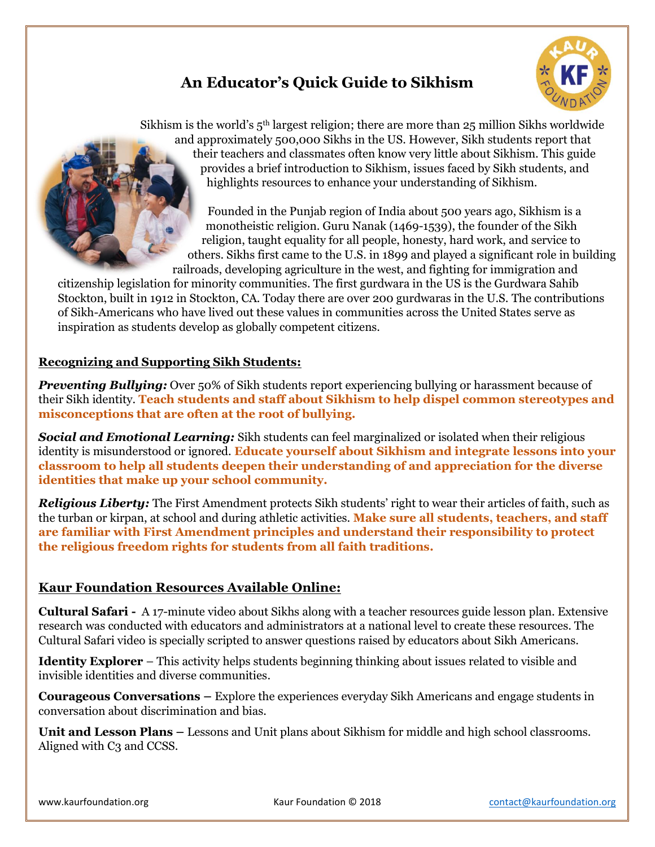# **An Educator's Quick Guide to Sikhism**



Sikhism is the world's 5<sup>th</sup> largest religion; there are more than 25 million Sikhs worldwide and approximately 500,000 Sikhs in the US. However, Sikh students report that their teachers and classmates often know very little about Sikhism. This guide provides a brief introduction to Sikhism, issues faced by Sikh students, and highlights resources to enhance your understanding of Sikhism.

Founded in the Punjab region of India about 500 years ago, Sikhism is a monotheistic religion. Guru Nanak (1469-1539), the founder of the Sikh religion, taught equality for all people, honesty, hard work, and service to others. Sikhs first came to the U.S. in 1899 and played a significant role in building railroads, developing agriculture in the west, and fighting for immigration and

citizenship legislation for minority communities. The first gurdwara in the US is the Gurdwara Sahib Stockton, built in 1912 in Stockton, CA. Today there are over 200 gurdwaras in the U.S. The contributions of Sikh-Americans who have lived out these values in communities across the United States serve as inspiration as students develop as globally competent citizens.

## **Recognizing and Supporting Sikh Students:**

*Preventing Bullying:* Over 50% of Sikh students report experiencing bullying or harassment because of their Sikh identity. **Teach students and staff about Sikhism to help dispel common stereotypes and misconceptions that are often at the root of bullying.**

*Social and Emotional Learning:* Sikh students can feel marginalized or isolated when their religious identity is misunderstood or ignored. **Educate yourself about Sikhism and integrate lessons into your classroom to help all students deepen their understanding of and appreciation for the diverse identities that make up your school community.** 

*Religious Liberty:* The First Amendment protects Sikh students' right to wear their articles of faith, such as the turban or kirpan, at school and during athletic activities. **Make sure all students, teachers, and staff are familiar with First Amendment principles and understand their responsibility to protect the religious freedom rights for students from all faith traditions.**

# **Kaur Foundation Resources Available Online:**

**Cultural Safari -** A 17-minute video about Sikhs along with a teacher resources guide lesson plan. Extensive research was conducted with educators and administrators at a national level to create these resources. The Cultural Safari video is specially scripted to answer questions raised by educators about Sikh Americans.

**Identity Explorer** – This activity helps students beginning thinking about issues related to visible and invisible identities and diverse communities.

**Courageous Conversations –** Explore the experiences everyday Sikh Americans and engage students in conversation about discrimination and bias.

**Unit and Lesson Plans –** Lessons and Unit plans about Sikhism for middle and high school classrooms. Aligned with C<sub>3</sub> and CCSS.